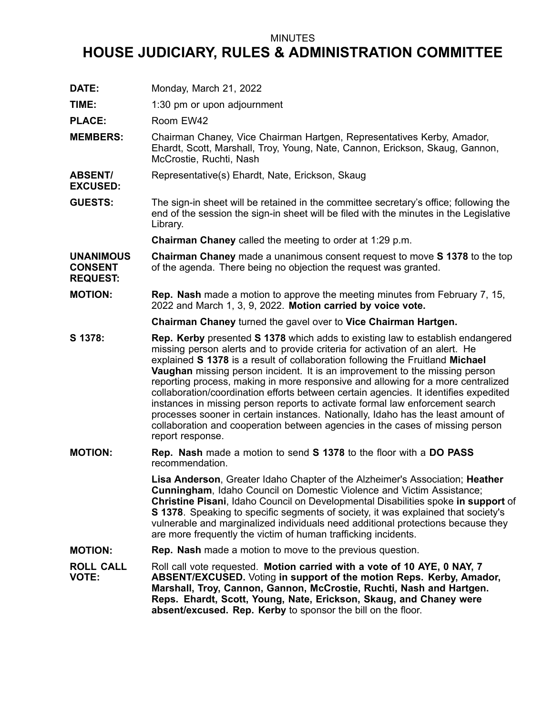## MINUTES

## **HOUSE JUDICIARY, RULES & ADMINISTRATION COMMITTEE**

**DATE:** Monday, March 21, 2022

**TIME:** 1:30 pm or upon adjournment

PLACE: Room EW42

**EXCUSED:**

**MEMBERS:** Chairman Chaney, Vice Chairman Hartgen, Representatives Kerby, Amador, Ehardt, Scott, Marshall, Troy, Young, Nate, Cannon, Erickson, Skaug, Gannon, McCrostie, Ruchti, Nash

**ABSENT/** Representative(s) Ehardt, Nate, Erickson, Skaug

**GUESTS:** The sign-in sheet will be retained in the committee secretary's office; following the end of the session the sign-in sheet will be filed with the minutes in the Legislative Library.

**Chairman Chaney** called the meeting to order at 1:29 p.m.

**UNANIMOUS CONSENT REQUEST: Chairman Chaney** made <sup>a</sup> unanimous consent request to move **S 1378** to the top of the agenda. There being no objection the request was granted.

**MOTION: Rep. Nash** made <sup>a</sup> motion to approve the meeting minutes from February 7, 15, 2022 and March 1, 3, 9, 2022. **Motion carried by voice vote.**

**Chairman Chaney** turned the gavel over to **Vice Chairman Hartgen.**

- **S 1378: Rep. Kerby** presented **S 1378** which adds to existing law to establish endangered missing person alerts and to provide criteria for activation of an alert. He explained **S 1378** is <sup>a</sup> result of collaboration following the Fruitland **Michael Vaughan** missing person incident. It is an improvement to the missing person reporting process, making in more responsive and allowing for <sup>a</sup> more centralized collaboration/coordination efforts between certain agencies. It identifies expedited instances in missing person reports to activate formal law enforcement search processes sooner in certain instances. Nationally, Idaho has the least amount of collaboration and cooperation between agencies in the cases of missing person report response.
- **MOTION: Rep. Nash** made <sup>a</sup> motion to send **S 1378** to the floor with <sup>a</sup> **DO PASS** recommendation.

**Lisa Anderson**, Greater Idaho Chapter of the Alzheimer's Association; **Heather Cunningham**, Idaho Council on Domestic Violence and Victim Assistance; **Christine Pisani**, Idaho Council on Developmental Disabilities spoke **in support** of **S 1378**. Speaking to specific segments of society, it was explained that society's vulnerable and marginalized individuals need additional protections because they are more frequently the victim of human trafficking incidents.

**MOTION: Rep. Nash** made <sup>a</sup> motion to move to the previous question.

**ROLL CALL VOTE:** Roll call vote requested. **Motion carried with <sup>a</sup> vote of 10 AYE, 0 NAY, 7 ABSENT/EXCUSED.** Voting **in support of the motion Reps. Kerby, Amador, Marshall, Troy, Cannon, Gannon, McCrostie, Ruchti, Nash and Hartgen. Reps. Ehardt, Scott, Young, Nate, Erickson, Skaug, and Chaney were absent/excused. Rep. Kerby** to sponsor the bill on the floor.